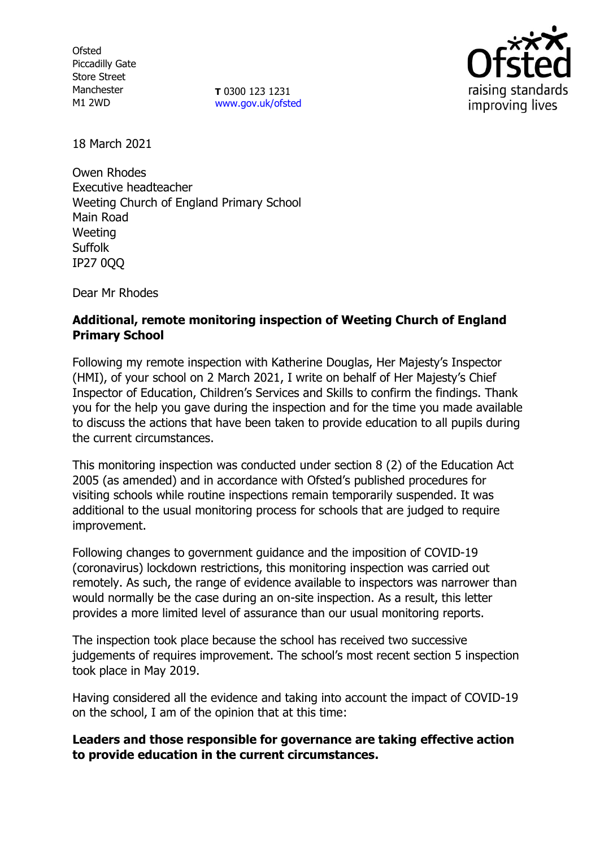**Ofsted** Piccadilly Gate Store Street Manchester M1 2WD

**T** 0300 123 1231 [www.gov.uk/ofsted](http://www.gov.uk/ofsted)



18 March 2021

Owen Rhodes Executive headteacher Weeting Church of England Primary School Main Road Weeting Suffolk IP27 0QQ

Dear Mr Rhodes

# **Additional, remote monitoring inspection of Weeting Church of England Primary School**

Following my remote inspection with Katherine Douglas, Her Majesty's Inspector (HMI), of your school on 2 March 2021, I write on behalf of Her Majesty's Chief Inspector of Education, Children's Services and Skills to confirm the findings. Thank you for the help you gave during the inspection and for the time you made available to discuss the actions that have been taken to provide education to all pupils during the current circumstances.

This monitoring inspection was conducted under section 8 (2) of the Education Act 2005 (as amended) and in accordance with Ofsted's published procedures for visiting schools while routine inspections remain temporarily suspended. It was additional to the usual monitoring process for schools that are judged to require improvement.

Following changes to government guidance and the imposition of COVID-19 (coronavirus) lockdown restrictions, this monitoring inspection was carried out remotely. As such, the range of evidence available to inspectors was narrower than would normally be the case during an on-site inspection. As a result, this letter provides a more limited level of assurance than our usual monitoring reports.

The inspection took place because the school has received two successive judgements of requires improvement. The school's most recent section 5 inspection took place in May 2019.

Having considered all the evidence and taking into account the impact of COVID-19 on the school, I am of the opinion that at this time:

## **Leaders and those responsible for governance are taking effective action to provide education in the current circumstances.**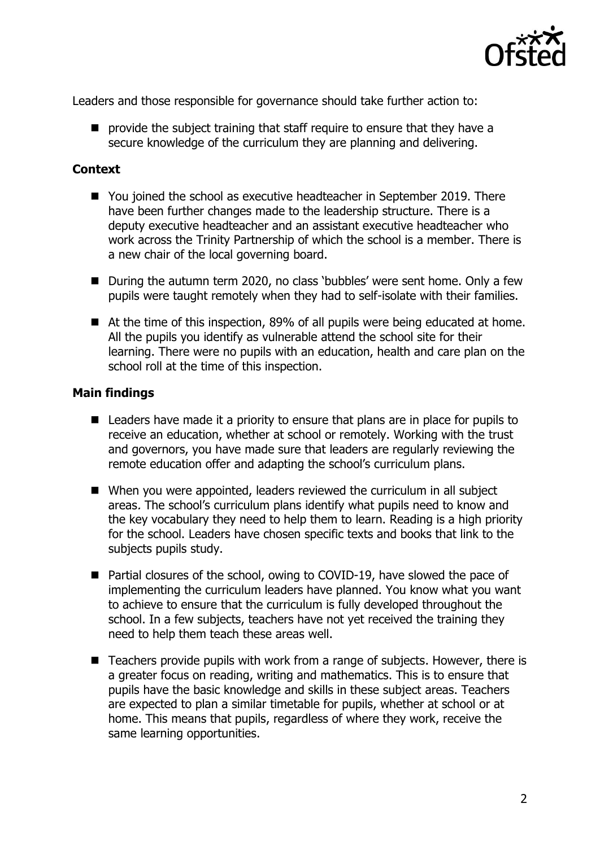

Leaders and those responsible for governance should take further action to:

■ provide the subject training that staff require to ensure that they have a secure knowledge of the curriculum they are planning and delivering.

#### **Context**

- You joined the school as executive headteacher in September 2019. There have been further changes made to the leadership structure. There is a deputy executive headteacher and an assistant executive headteacher who work across the Trinity Partnership of which the school is a member. There is a new chair of the local governing board.
- During the autumn term 2020, no class 'bubbles' were sent home. Only a few pupils were taught remotely when they had to self-isolate with their families.
- At the time of this inspection, 89% of all pupils were being educated at home. All the pupils you identify as vulnerable attend the school site for their learning. There were no pupils with an education, health and care plan on the school roll at the time of this inspection.

### **Main findings**

- Leaders have made it a priority to ensure that plans are in place for pupils to receive an education, whether at school or remotely. Working with the trust and governors, you have made sure that leaders are regularly reviewing the remote education offer and adapting the school's curriculum plans.
- When you were appointed, leaders reviewed the curriculum in all subject areas. The school's curriculum plans identify what pupils need to know and the key vocabulary they need to help them to learn. Reading is a high priority for the school. Leaders have chosen specific texts and books that link to the subjects pupils study.
- Partial closures of the school, owing to COVID-19, have slowed the pace of implementing the curriculum leaders have planned. You know what you want to achieve to ensure that the curriculum is fully developed throughout the school. In a few subjects, teachers have not yet received the training they need to help them teach these areas well.
- Teachers provide pupils with work from a range of subjects. However, there is a greater focus on reading, writing and mathematics. This is to ensure that pupils have the basic knowledge and skills in these subject areas. Teachers are expected to plan a similar timetable for pupils, whether at school or at home. This means that pupils, regardless of where they work, receive the same learning opportunities.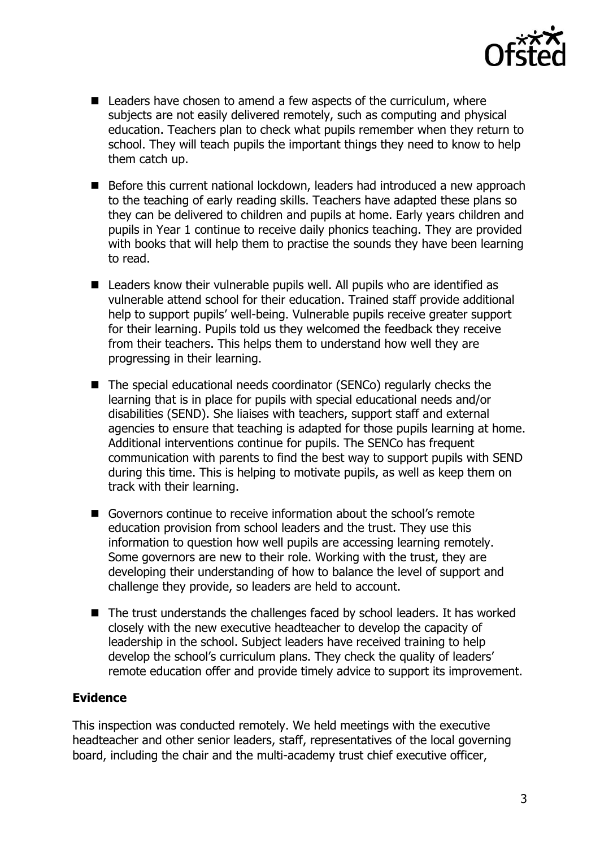

- Leaders have chosen to amend a few aspects of the curriculum, where subjects are not easily delivered remotely, such as computing and physical education. Teachers plan to check what pupils remember when they return to school. They will teach pupils the important things they need to know to help them catch up.
- Before this current national lockdown, leaders had introduced a new approach to the teaching of early reading skills. Teachers have adapted these plans so they can be delivered to children and pupils at home. Early years children and pupils in Year 1 continue to receive daily phonics teaching. They are provided with books that will help them to practise the sounds they have been learning to read.
- Leaders know their vulnerable pupils well. All pupils who are identified as vulnerable attend school for their education. Trained staff provide additional help to support pupils' well-being. Vulnerable pupils receive greater support for their learning. Pupils told us they welcomed the feedback they receive from their teachers. This helps them to understand how well they are progressing in their learning.
- The special educational needs coordinator (SENCo) regularly checks the learning that is in place for pupils with special educational needs and/or disabilities (SEND). She liaises with teachers, support staff and external agencies to ensure that teaching is adapted for those pupils learning at home. Additional interventions continue for pupils. The SENCo has frequent communication with parents to find the best way to support pupils with SEND during this time. This is helping to motivate pupils, as well as keep them on track with their learning.
- Governors continue to receive information about the school's remote education provision from school leaders and the trust. They use this information to question how well pupils are accessing learning remotely. Some governors are new to their role. Working with the trust, they are developing their understanding of how to balance the level of support and challenge they provide, so leaders are held to account.
- The trust understands the challenges faced by school leaders. It has worked closely with the new executive headteacher to develop the capacity of leadership in the school. Subject leaders have received training to help develop the school's curriculum plans. They check the quality of leaders' remote education offer and provide timely advice to support its improvement.

## **Evidence**

This inspection was conducted remotely. We held meetings with the executive headteacher and other senior leaders, staff, representatives of the local governing board, including the chair and the multi-academy trust chief executive officer,